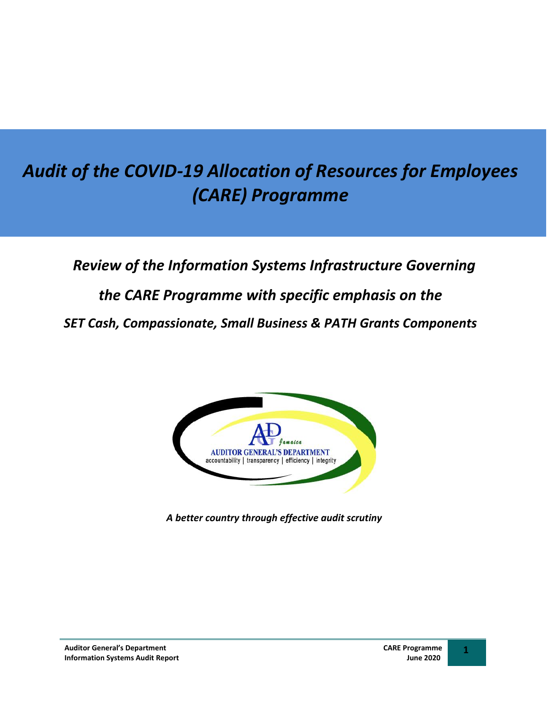# *Audit of the COVID-19 Allocation of Resources for Employees (CARE) Programme*

# *Review of the Information Systems Infrastructure Governing the CARE Programme with specific emphasis on the SET Cash, Compassionate, Small Business & PATH Grants Components*



*A better country through effective audit scrutiny*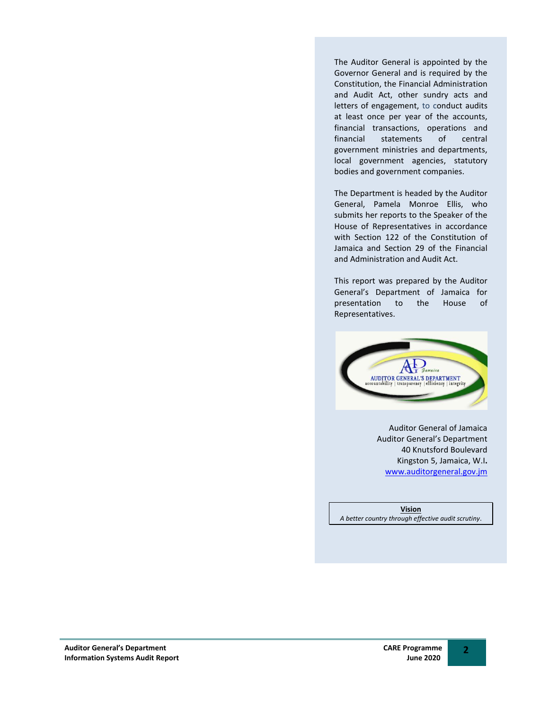The Auditor General is appointed by the Governor General and is required by the Constitution, the Financial Administration and Audit Act, other sundry acts and letters of engagement, to conduct audits at least once per year of the accounts, financial transactions, operations and financial statements of central government ministries and departments, local government agencies, statutory bodies and government companies.

The Department is headed by the Auditor General, Pamela Monroe Ellis, who submits her reports to the Speaker of the House of Representatives in accordance with Section 122 of the Constitution of Jamaica and Section 29 of the Financial and Administration and Audit Act.

This report was prepared by the Auditor General's Department of Jamaica for presentation to the House of Representatives.



Auditor General of Jamaica Auditor General's Department 40 Knutsford Boulevard Kingston 5, Jamaica, W.I**.** [www.auditorgeneral.gov.jm](http://www.auditorgeneral.gov.jm/)

**Vision** *A better country through effective audit scrutiny*.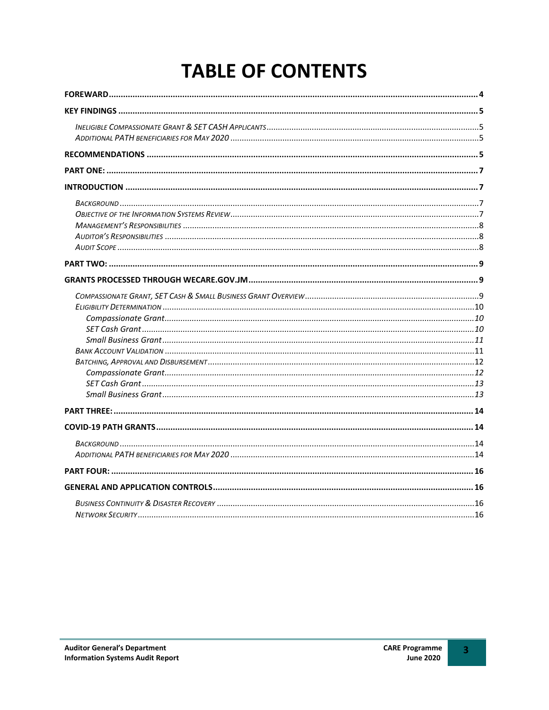# **TABLE OF CONTENTS**

 $\overline{\mathbf{3}}$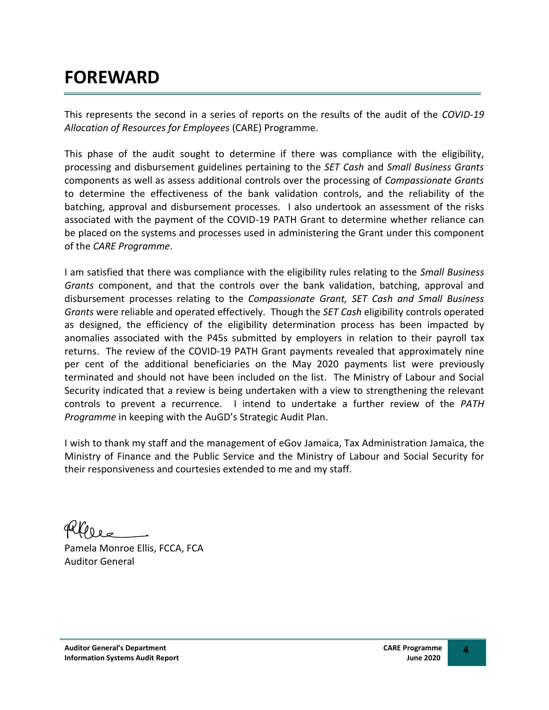# **FOREWARD**

This represents the second in a series of reports on the results of the audit of the *COVID-19 Allocation of Resources for Employees* (CARE) Programme.

This phase of the audit sought to determine if there was compliance with the eligibility, processing and disbursement guidelines pertaining to the *SET Cash* and *Small Business Grants* components as well as assess additional controls over the processing of *Compassionate Grants* to determine the effectiveness of the bank validation controls, and the reliability of the batching, approval and disbursement processes. I also undertook an assessment of the risks associated with the payment of the COVID-19 PATH Grant to determine whether reliance can be placed on the systems and processes used in administering the Grant under this component of the *CARE Programme*.

I am satisfied that there was compliance with the eligibility rules relating to the *Small Business Grants* component, and that the controls over the bank validation, batching, approval and disbursement processes relating to the *Compassionate Grant, SET Cash and Small Business Grants* were reliable and operated effectively. Though the *SET Cash* eligibility controls operated as designed, the efficiency of the eligibility determination process has been impacted by anomalies associated with the P45s submitted by employers in relation to their payroll tax returns. The review of the COVID-19 PATH Grant payments revealed that approximately nine per cent of the additional beneficiaries on the May 2020 payments list were previously terminated and should not have been included on the list. The Ministry of Labour and Social Security indicated that a review is being undertaken with a view to strengthening the relevant controls to prevent a recurrence. I intend to undertake a further review of the *PATH Programme* in keeping with the AuGD's Strategic Audit Plan.

I wish to thank my staff and the management of eGov Jamaica, Tax Administration Jamaica, the Ministry of Finance and the Public Service and the Ministry of Labour and Social Security for their responsiveness and courtesies extended to me and my staff.

Pamela Monroe Ellis, FCCA, FCA Auditor General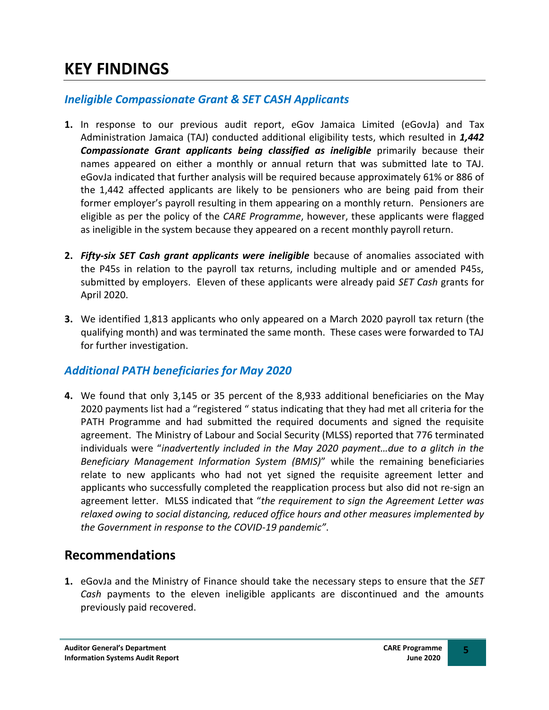# <span id="page-4-0"></span>**KEY FINDINGS**

# <span id="page-4-1"></span>*Ineligible Compassionate Grant & SET CASH Applicants*

- **1.** In response to our previous audit report, eGov Jamaica Limited (eGovJa) and Tax Administration Jamaica (TAJ) conducted additional eligibility tests, which resulted in *1,442 Compassionate Grant applicants being classified as ineligible* primarily because their names appeared on either a monthly or annual return that was submitted late to TAJ. eGovJa indicated that further analysis will be required because approximately 61% or 886 of the 1,442 affected applicants are likely to be pensioners who are being paid from their former employer's payroll resulting in them appearing on a monthly return. Pensioners are eligible as per the policy of the *CARE Programme*, however, these applicants were flagged as ineligible in the system because they appeared on a recent monthly payroll return.
- **2.** *Fifty-six SET Cash grant applicants were ineligible* because of anomalies associated with the P45s in relation to the payroll tax returns, including multiple and or amended P45s, submitted by employers. Eleven of these applicants were already paid *SET Cash* grants for April 2020.
- **3.** We identified 1,813 applicants who only appeared on a March 2020 payroll tax return (the qualifying month) and was terminated the same month. These cases were forwarded to TAJ for further investigation.

## <span id="page-4-2"></span>*Additional PATH beneficiaries for May 2020*

**4.** We found that only 3,145 or 35 percent of the 8,933 additional beneficiaries on the May 2020 payments list had a "registered " status indicating that they had met all criteria for the PATH Programme and had submitted the required documents and signed the requisite agreement. The Ministry of Labour and Social Security (MLSS) reported that 776 terminated individuals were "*inadvertently included in the May 2020 payment…due to a glitch in the Beneficiary Management Information System (BMIS)*" while the remaining beneficiaries relate to new applicants who had not yet signed the requisite agreement letter and applicants who successfully completed the reapplication process but also did not re-sign an agreement letter. MLSS indicated that "*the requirement to sign the Agreement Letter was relaxed owing to social distancing, reduced office hours and other measures implemented by the Government in response to the COVID-19 pandemic"*.

# <span id="page-4-3"></span>**Recommendations**

**1.** eGovJa and the Ministry of Finance should take the necessary steps to ensure that the *SET Cash* payments to the eleven ineligible applicants are discontinued and the amounts previously paid recovered.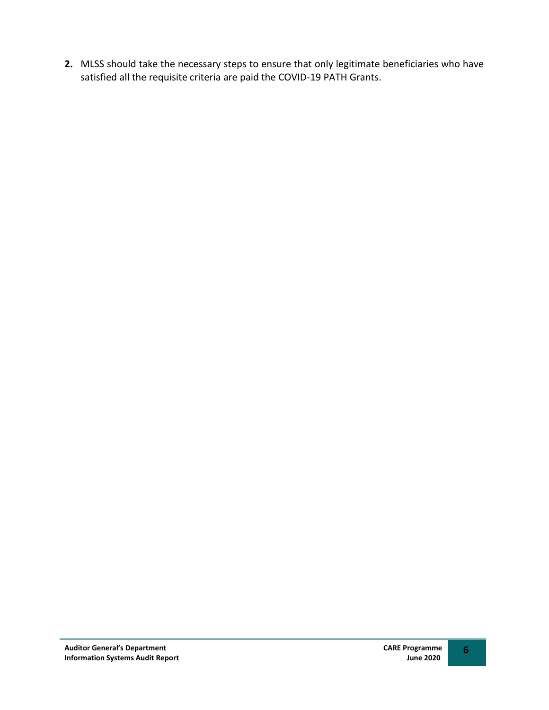**2.** MLSS should take the necessary steps to ensure that only legitimate beneficiaries who have satisfied all the requisite criteria are paid the COVID-19 PATH Grants.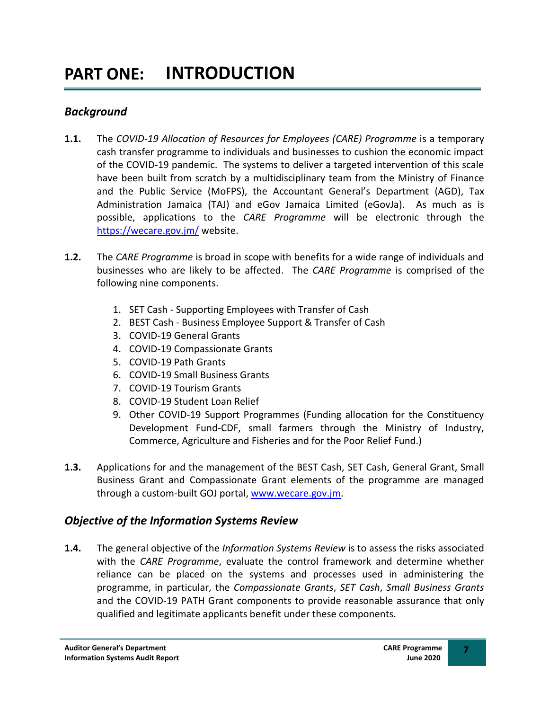#### <span id="page-6-2"></span><span id="page-6-1"></span><span id="page-6-0"></span>*Background*

- **1.1.** The *COVID-19 Allocation of Resources for Employees (CARE) Programme* is a temporary cash transfer programme to individuals and businesses to cushion the economic impact of the COVID-19 pandemic. The systems to deliver a targeted intervention of this scale have been built from scratch by a multidisciplinary team from the Ministry of Finance and the Public Service (MoFPS), the Accountant General's Department (AGD), Tax Administration Jamaica (TAJ) and eGov Jamaica Limited (eGovJa). As much as is possible, applications to the *CARE Programme* will be electronic through the <https://wecare.gov.jm/> website.
- **1.2.** The *CARE Programme* is broad in scope with benefits for a wide range of individuals and businesses who are likely to be affected. The *CARE Programme* is comprised of the following nine components.
	- 1. SET Cash Supporting Employees with Transfer of Cash
	- 2. BEST Cash Business Employee Support & Transfer of Cash
	- 3. COVID-19 General Grants
	- 4. COVID-19 Compassionate Grants
	- 5. COVID-19 Path Grants
	- 6. COVID-19 Small Business Grants
	- 7. COVID-19 Tourism Grants
	- 8. COVID-19 Student Loan Relief
	- 9. Other COVID-19 Support Programmes (Funding allocation for the Constituency Development Fund-CDF, small farmers through the Ministry of Industry, Commerce, Agriculture and Fisheries and for the Poor Relief Fund.)
- **1.3.** Applications for and the management of the BEST Cash, SET Cash, General Grant, Small Business Grant and Compassionate Grant elements of the programme are managed through a custom-built GOJ portal, [www.wecare.gov.jm.](http://www.wecare.gov.jm/)

## <span id="page-6-3"></span>*Objective of the Information Systems Review*

**1.4.** The general objective of the *Information Systems Review* is to assess the risks associated with the *CARE Programme*, evaluate the control framework and determine whether reliance can be placed on the systems and processes used in administering the programme, in particular, the *Compassionate Grants*, *SET Cash*, *Small Business Grants* and the COVID-19 PATH Grant components to provide reasonable assurance that only qualified and legitimate applicants benefit under these components.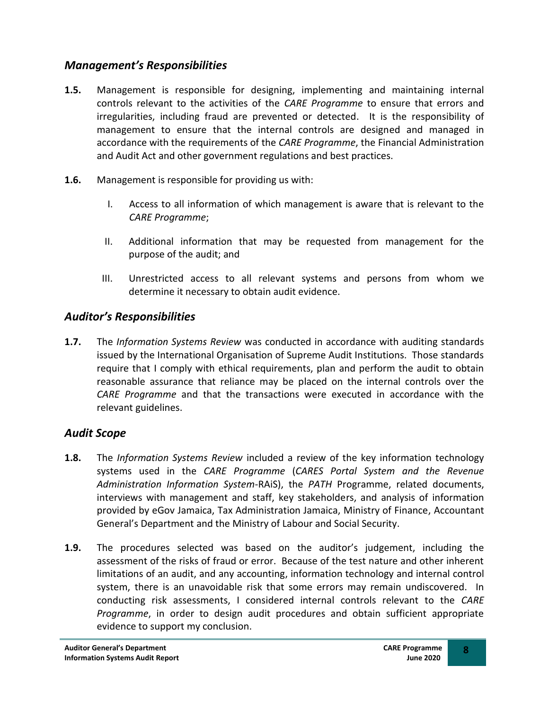## <span id="page-7-0"></span>*Management's Responsibilities*

- **1.5.** Management is responsible for designing, implementing and maintaining internal controls relevant to the activities of the *CARE Programme* to ensure that errors and irregularities, including fraud are prevented or detected. It is the responsibility of management to ensure that the internal controls are designed and managed in accordance with the requirements of the *CARE Programme*, the Financial Administration and Audit Act and other government regulations and best practices.
- **1.6.** Management is responsible for providing us with:
	- I. Access to all information of which management is aware that is relevant to the *CARE Programme*;
	- II. Additional information that may be requested from management for the purpose of the audit; and
	- III. Unrestricted access to all relevant systems and persons from whom we determine it necessary to obtain audit evidence.

# <span id="page-7-1"></span>*Auditor's Responsibilities*

**1.7.** The *Information Systems Review* was conducted in accordance with auditing standards issued by the International Organisation of Supreme Audit Institutions. Those standards require that I comply with ethical requirements, plan and perform the audit to obtain reasonable assurance that reliance may be placed on the internal controls over the *CARE Programme* and that the transactions were executed in accordance with the relevant guidelines.

# <span id="page-7-2"></span>*Audit Scope*

- **1.8.** The *Information Systems Review* included a review of the key information technology systems used in the *CARE Programme* (*CARES Portal System and the Revenue Administration Information System*-RAiS), the *PATH* Programme, related documents, interviews with management and staff, key stakeholders, and analysis of information provided by eGov Jamaica, Tax Administration Jamaica, Ministry of Finance, Accountant General's Department and the Ministry of Labour and Social Security.
- **1.9.** The procedures selected was based on the auditor's judgement, including the assessment of the risks of fraud or error. Because of the test nature and other inherent limitations of an audit, and any accounting, information technology and internal control system, there is an unavoidable risk that some errors may remain undiscovered. In conducting risk assessments, I considered internal controls relevant to the *CARE Programme*, in order to design audit procedures and obtain sufficient appropriate evidence to support my conclusion.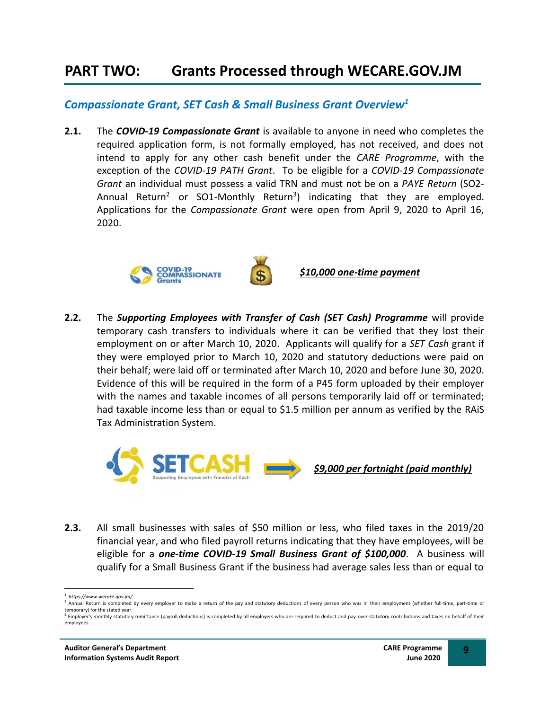# <span id="page-8-1"></span><span id="page-8-0"></span>**PART TWO: Grants Processed through WECARE.GOV.JM**

#### <span id="page-8-2"></span>*Compassionate Grant, SET Cash & Small Business Grant Overview<sup>1</sup>*

**2.1.** The *COVID-19 Compassionate Grant* is available to anyone in need who completes the required application form, is not formally employed, has not received, and does not intend to apply for any other cash benefit under the *CARE Programme*, with the exception of the *COVID-19 PATH Grant*. To be eligible for a *COVID-19 Compassionate Grant* an individual must possess a valid TRN and must not be on a *PAYE Return* (SO2- Annual Return<sup>2</sup> or SO1-Monthly Return<sup>3</sup>) indicating that they are employed. Applications for the *Compassionate Grant* were open from April 9, 2020 to April 16, 2020.



*\$10,000 one-time payment*

**2.2.** The *Supporting Employees with Transfer of Cash (SET Cash) Programme* will provide temporary cash transfers to individuals where it can be verified that they lost their employment on or after March 10, 2020. Applicants will qualify for a *SET Cash* grant if they were employed prior to March 10, 2020 and statutory deductions were paid on their behalf; were laid off or terminated after March 10, 2020 and before June 30, 2020. Evidence of this will be required in the form of a P45 form uploaded by their employer with the names and taxable incomes of all persons temporarily laid off or terminated; had taxable income less than or equal to \$1.5 million per annum as verified by the RAiS Tax Administration System.



**2.3.** All small businesses with sales of \$50 million or less, who filed taxes in the 2019/20 financial year, and who filed payroll returns indicating that they have employees, will be eligible for a *one-time COVID-19 Small Business Grant of \$100,000*. A business will qualify for a Small Business Grant if the business had average sales less than or equal to

<sup>1</sup> *https://www.wecare.gov.jm/*

<sup>&</sup>lt;sup>2</sup> Annual Return is completed by every employer to make a return of the pay and statutory deductions of every person who was in their employment (whether full-time, part-time or temporary) for the stated year. <sup>3</sup> Employer's monthly statutory remittance (payroll deductions) is completed by all employers who are required to deduct and pay over statutory contributions and taxes on behalf of their

employees.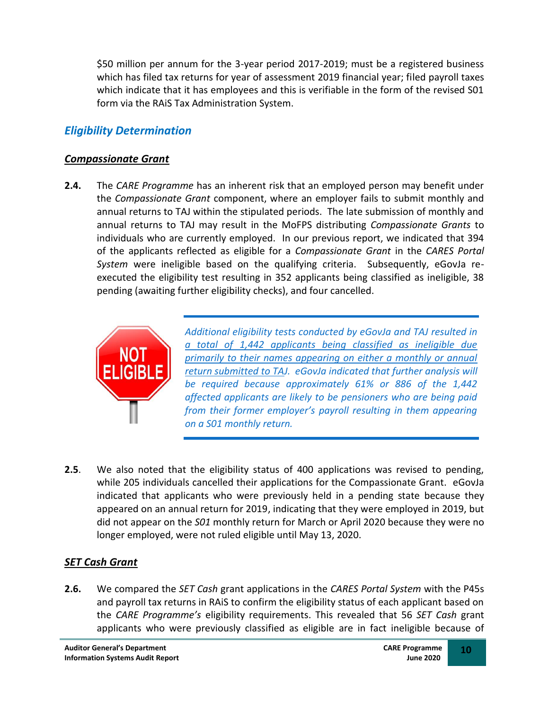\$50 million per annum for the 3-year period 2017-2019; must be a registered business which has filed tax returns for year of assessment 2019 financial year; filed payroll taxes which indicate that it has employees and this is verifiable in the form of the revised S01 form via the RAiS Tax Administration System.

# <span id="page-9-0"></span>*Eligibility Determination*

#### <span id="page-9-1"></span>*Compassionate Grant*

**2.4.** The *CARE Programme* has an inherent risk that an employed person may benefit under the *Compassionate Grant* component, where an employer fails to submit monthly and annual returns to TAJ within the stipulated periods. The late submission of monthly and annual returns to TAJ may result in the MoFPS distributing *Compassionate Grants* to individuals who are currently employed. In our previous report, we indicated that 394 of the applicants reflected as eligible for a *Compassionate Grant* in the *CARES Portal System* were ineligible based on the qualifying criteria. Subsequently, eGovJa reexecuted the eligibility test resulting in 352 applicants being classified as ineligible, 38 pending (awaiting further eligibility checks), and four cancelled.



*Additional eligibility tests conducted by eGovJa and TAJ resulted in a total of 1,442 applicants being classified as ineligible due primarily to their names appearing on either a monthly or annual return submitted to TAJ. eGovJa indicated that further analysis will be required because approximately 61% or 886 of the 1,442 affected applicants are likely to be pensioners who are being paid from their former employer's payroll resulting in them appearing on a S01 monthly return.* 

**2.5**. We also noted that the eligibility status of 400 applications was revised to pending, while 205 individuals cancelled their applications for the Compassionate Grant. eGovJa indicated that applicants who were previously held in a pending state because they appeared on an annual return for 2019, indicating that they were employed in 2019, but did not appear on the *S01* monthly return for March or April 2020 because they were no longer employed, were not ruled eligible until May 13, 2020.

## <span id="page-9-2"></span>*SET Cash Grant*

**2.6.** We compared the *SET Cash* grant applications in the *CARES Portal System* with the P45s and payroll tax returns in RAiS to confirm the eligibility status of each applicant based on the *CARE Programme's* eligibility requirements. This revealed that 56 *SET Cash* grant applicants who were previously classified as eligible are in fact ineligible because of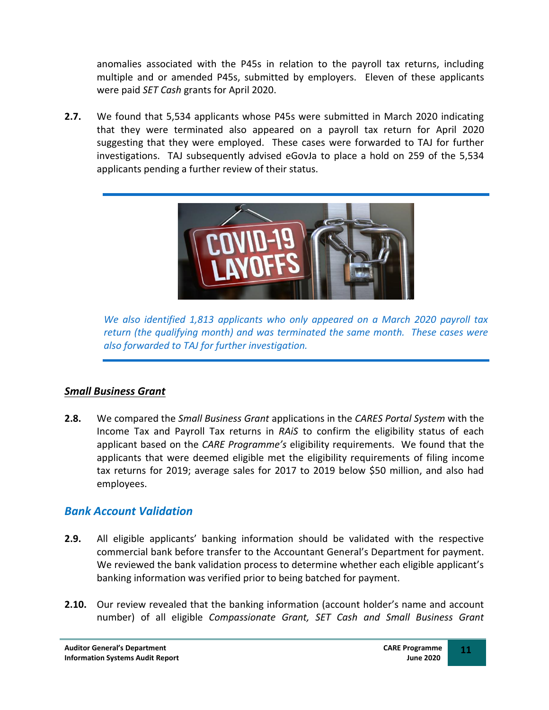anomalies associated with the P45s in relation to the payroll tax returns, including multiple and or amended P45s, submitted by employers. Eleven of these applicants were paid *SET Cash* grants for April 2020.

**2.7.** We found that 5,534 applicants whose P45s were submitted in March 2020 indicating that they were terminated also appeared on a payroll tax return for April 2020 suggesting that they were employed. These cases were forwarded to TAJ for further investigations. TAJ subsequently advised eGovJa to place a hold on 259 of the 5,534 applicants pending a further review of their status.



*We also identified 1,813 applicants who only appeared on a March 2020 payroll tax return (the qualifying month) and was terminated the same month. These cases were also forwarded to TAJ for further investigation.*

## <span id="page-10-0"></span>*Small Business Grant*

**2.8.** We compared the *Small Business Grant* applications in the *CARES Portal System* with the Income Tax and Payroll Tax returns in *RAiS* to confirm the eligibility status of each applicant based on the *CARE Programme's* eligibility requirements. We found that the applicants that were deemed eligible met the eligibility requirements of filing income tax returns for 2019; average sales for 2017 to 2019 below \$50 million, and also had employees.

## <span id="page-10-1"></span>*Bank Account Validation*

- **2.9.** All eligible applicants' banking information should be validated with the respective commercial bank before transfer to the Accountant General's Department for payment. We reviewed the bank validation process to determine whether each eligible applicant's banking information was verified prior to being batched for payment.
- **2.10.** Our review revealed that the banking information (account holder's name and account number) of all eligible *Compassionate Grant, SET Cash and Small Business Grant*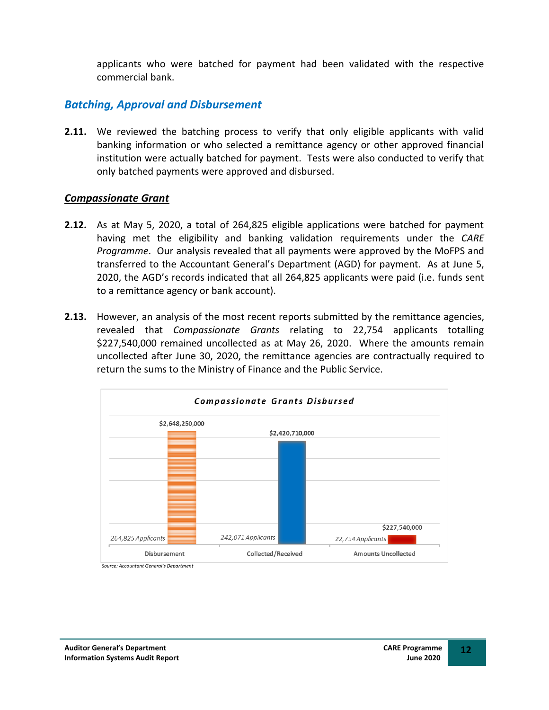applicants who were batched for payment had been validated with the respective commercial bank.

#### <span id="page-11-0"></span>*Batching, Approval and Disbursement*

**2.11.** We reviewed the batching process to verify that only eligible applicants with valid banking information or who selected a remittance agency or other approved financial institution were actually batched for payment. Tests were also conducted to verify that only batched payments were approved and disbursed.

#### <span id="page-11-1"></span>*Compassionate Grant*

- **2.12.** As at May 5, 2020, a total of 264,825 eligible applications were batched for payment having met the eligibility and banking validation requirements under the *CARE Programme*. Our analysis revealed that all payments were approved by the MoFPS and transferred to the Accountant General's Department (AGD) for payment. As at June 5, 2020, the AGD's records indicated that all 264,825 applicants were paid (i.e. funds sent to a remittance agency or bank account).
- **2.13.** However, an analysis of the most recent reports submitted by the remittance agencies, revealed that *Compassionate Grants* relating to 22,754 applicants totalling \$227,540,000 remained uncollected as at May 26, 2020. Where the amounts remain uncollected after June 30, 2020, the remittance agencies are contractually required to return the sums to the Ministry of Finance and the Public Service.

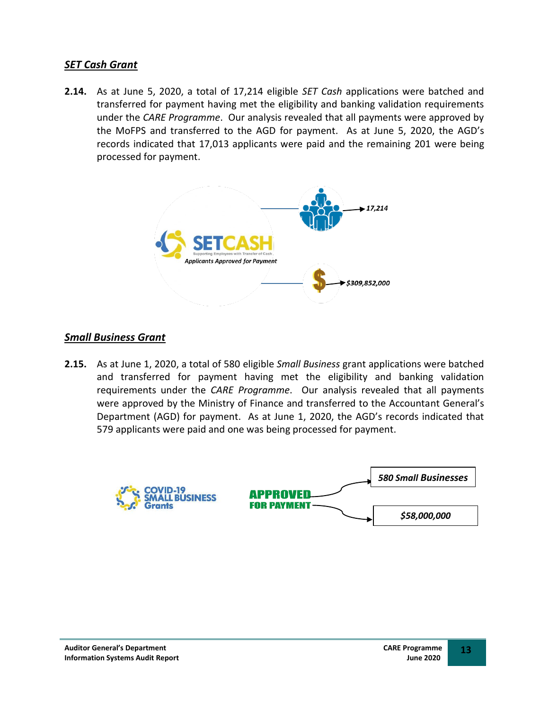#### <span id="page-12-0"></span>*SET Cash Grant*

**2.14.** As at June 5, 2020, a total of 17,214 eligible *SET Cash* applications were batched and transferred for payment having met the eligibility and banking validation requirements under the *CARE Programme*. Our analysis revealed that all payments were approved by the MoFPS and transferred to the AGD for payment. As at June 5, 2020, the AGD's records indicated that 17,013 applicants were paid and the remaining 201 were being processed for payment.



#### <span id="page-12-1"></span>*Small Business Grant*

**2.15.** As at June 1, 2020, a total of 580 eligible *Small Business* grant applications were batched and transferred for payment having met the eligibility and banking validation requirements under the *CARE Programme*. Our analysis revealed that all payments were approved by the Ministry of Finance and transferred to the Accountant General's Department (AGD) for payment. As at June 1, 2020, the AGD's records indicated that 579 applicants were paid and one was being processed for payment.

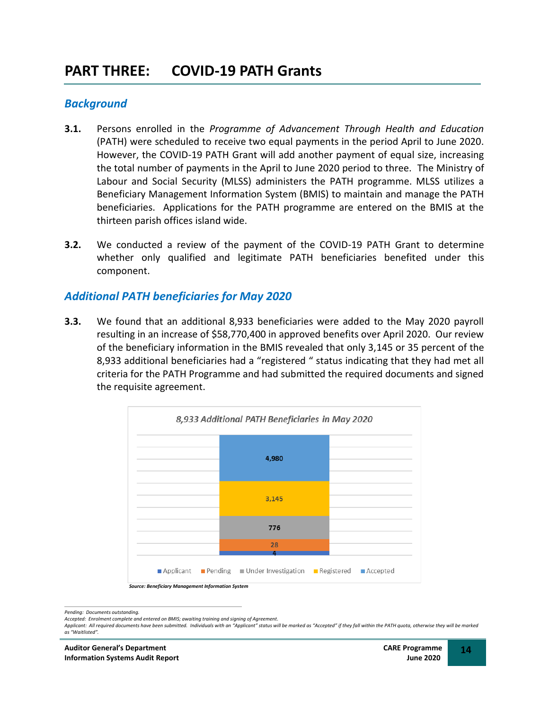#### <span id="page-13-2"></span><span id="page-13-1"></span><span id="page-13-0"></span>*Background*

- **3.1.** Persons enrolled in the *Programme of Advancement Through Health and Education* (PATH) were scheduled to receive two equal payments in the period April to June 2020. However, the COVID-19 PATH Grant will add another payment of equal size, increasing the total number of payments in the April to June 2020 period to three. The Ministry of Labour and Social Security (MLSS) administers the PATH programme. MLSS utilizes a Beneficiary Management Information System (BMIS) to maintain and manage the PATH beneficiaries. Applications for the PATH programme are entered on the BMIS at the thirteen parish offices island wide.
- **3.2.** We conducted a review of the payment of the COVID-19 PATH Grant to determine whether only qualified and legitimate PATH beneficiaries benefited under this component.

#### <span id="page-13-3"></span>*Additional PATH beneficiaries for May 2020*

**3.3.** We found that an additional 8,933 beneficiaries were added to the May 2020 payroll resulting in an increase of \$58,770,400 in approved benefits over April 2020. Our review of the beneficiary information in the BMIS revealed that only 3,145 or 35 percent of the 8,933 additional beneficiaries had a "registered " status indicating that they had met all criteria for the PATH Programme and had submitted the required documents and signed the requisite agreement.



*Pending: Documents outstanding.*

Applicant: All required documents have been submitted. Individuals with an "Applicant" status will be marked as "Accepted" if they fall within the PATH quota, otherwise they will be marked *as "Waitlisted".*

*Accepted: Enrolment complete and entered on BMIS; awaiting training and signing of Agreement.*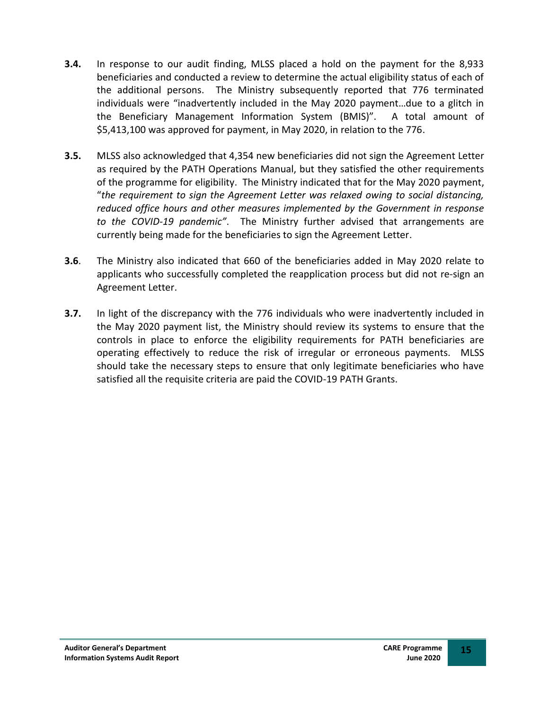- **3.4.** In response to our audit finding, MLSS placed a hold on the payment for the 8,933 beneficiaries and conducted a review to determine the actual eligibility status of each of the additional persons. The Ministry subsequently reported that 776 terminated individuals were "inadvertently included in the May 2020 payment…due to a glitch in the Beneficiary Management Information System (BMIS)". A total amount of \$5,413,100 was approved for payment, in May 2020, in relation to the 776.
- **3.5.** MLSS also acknowledged that 4,354 new beneficiaries did not sign the Agreement Letter as required by the PATH Operations Manual, but they satisfied the other requirements of the programme for eligibility. The Ministry indicated that for the May 2020 payment, "*the requirement to sign the Agreement Letter was relaxed owing to social distancing, reduced office hours and other measures implemented by the Government in response to the COVID-19 pandemic"*. The Ministry further advised that arrangements are currently being made for the beneficiaries to sign the Agreement Letter.
- **3.6**. The Ministry also indicated that 660 of the beneficiaries added in May 2020 relate to applicants who successfully completed the reapplication process but did not re-sign an Agreement Letter.
- **3.7.** In light of the discrepancy with the 776 individuals who were inadvertently included in the May 2020 payment list, the Ministry should review its systems to ensure that the controls in place to enforce the eligibility requirements for PATH beneficiaries are operating effectively to reduce the risk of irregular or erroneous payments. MLSS should take the necessary steps to ensure that only legitimate beneficiaries who have satisfied all the requisite criteria are paid the COVID-19 PATH Grants.